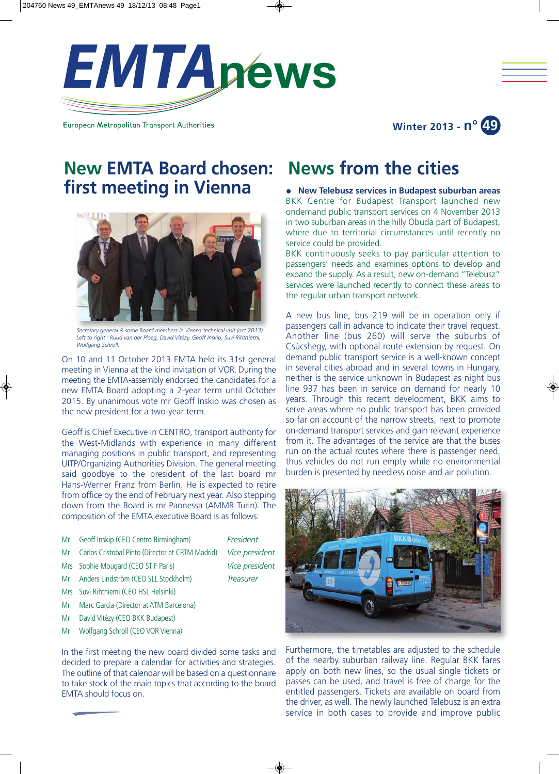

European Metropolitan Transport Authorities

# **News from the cities**

<sup>l</sup> **New Telebusz services in Budapest suburban areas** BKK Centre for Budapest Transport launched new ondemand public transport services on 4 November 2013 in two suburban areas in the hilly Óbuda part of Budapest, where due to territorial circumstances until recently no service could be provided.

**Winter 2013 - n° 49**

BKK continuously seeks to pay particular attention to passengers' needs and examines options to develop and expand the supply. As a result, new on-demand "Telebusz" services were launched recently to connect these areas to the regular urban transport network.

A new bus line, bus 219 will be in operation only if passengers call in advance to indicate their travel request. Another line (bus 260) will serve the suburbs of Csúcshegy, with optional route extension by request. On demand public transport service is a well-known concept in several cities abroad and in several towns in Hungary, neither is the service unknown in Budapest as night bus line 937 has been in service on demand for nearly 10 years. Through this recent development, BKK aims to serve areas where no public transport has been provided so far on account of the narrow streets, next to promote on-demand transport services and gain relevant experience from it. The advantages of the service are that the buses run on the actual routes where there is passenger need, thus vehicles do not run empty while no environmental burden is presented by needless noise and air pollution.



Furthermore, the timetables are adjusted to the schedule of the nearby suburban railway line. Regular BKK fares apply on both new lines, so the usual single tickets or passes can be used, and travel is free of charge for the entitled passengers. Tickets are available on board from the driver, as well. The newly launched Telebusz is an extra service in both cases to provide and improve public

# **New EMTA Board chosen: first meeting in Vienna**



*Secretary general & some Board members in Vienna technical visit (oct 2013). Left to right : Ruud van der Ploeg, David Vitézy, Geoff Inskip, Suvi Rihtniemi, Wolfgang Schroll.*

On 10 and 11 October 2013 EMTA held its 31st general meeting in Vienna at the kind invitation of VOR. During the meeting the EMTA-assembly endorsed the candidates for a new EMTA Board adopting a 2-year term until October 2015. By unanimous vote mr Geoff Inskip was chosen as the new president for a two-year term.

Geoff is Chief Executive in CENTRO, transport authority for the West-Midlands with experience in many different managing positions in public transport, and representing UITP/Organizing Authorities Division. The general meeting said goodbye to the president of the last board mr Hans-Werner Franz from Berlin. He is expected to retire from office by the end of February next year. Also stepping down from the Board is mr Paonessa (AMMR Turin). The composition of the EMTA executive Board is as follows:

- Mr Geoff Inskip (CEO Centro Birmingham) *President*
- Mr Carlos Cristobal Pinto (Director at CRTM Madrid) *Vice president*
- Mrs Sophie Mougard (CEO STIF Paris) *Vice president*
- Mr Anders Lindström (CEO SLL Stockholm) *Treasurer*
- Mrs Suvi Rihtniemi (CEO HSL Helsinki)
- Mr Marc Garcia (Director at ATM Barcelona)
- Mr David Vitézy (CEO BKK Budapest)
- Mr Wolfgang Schroll (CEO VOR Vienna)

In the first meeting the new board divided some tasks and decided to prepare a calendar for activities and strategies. The outline of that calendar will be based on a questionnaire to take stock of the main topics that according to the board EMTA should focus on.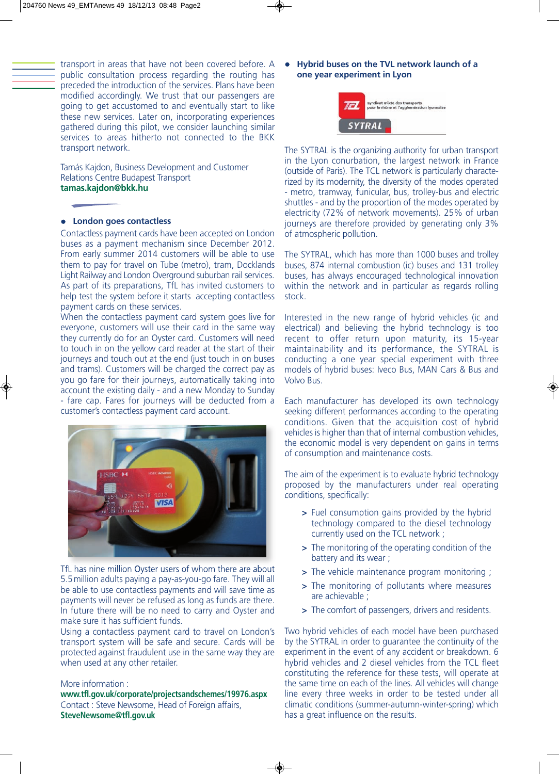transport in areas that have not been covered before. A public consultation process regarding the routing has preceded the introduction of the services. Plans have been modified accordingly. We trust that our passengers are going to get accustomed to and eventually start to like these new services. Later on, incorporating experiences gathered during this pilot, we consider launching similar services to areas hitherto not connected to the BKK transport network.

Tamás Kajdon, Business Development and Customer Relations Centre Budapest Transport **tamas.kajdon@bkk.hu**

## <sup>l</sup> **London goes contactless**

Contactless payment cards have been accepted on London buses as a payment mechanism since December 2012. From early summer 2014 customers will be able to use them to pay for travel on Tube (metro), tram, Docklands Light Railway and London Overground suburban rail services. As part of its preparations, TfL has invited customers to help test the system before it starts accepting contactless payment cards on these services.

When the contactless payment card system goes live for everyone, customers will use their card in the same way they currently do for an Oyster card. Customers will need to touch in on the yellow card reader at the start of their journeys and touch out at the end (just touch in on buses and trams). Customers will be charged the correct pay as you go fare for their journeys, automatically taking into account the existing daily - and a new Monday to Sunday - fare cap. Fares for journeys will be deducted from a customer's contactless payment card account.



TfL has nine million Oyster users of whom there are about 5.5 million adults paying a pay-as-you-go fare. They will all be able to use contactless payments and will save time as payments will never be refused as long as funds are there. In future there will be no need to carry and Oyster and make sure it has sufficient funds.

Using a contactless payment card to travel on London's transport system will be safe and secure. Cards will be protected against fraudulent use in the same way they are when used at any other retailer.

#### More information :

**www.tfl.gov.uk/corporate/projectsandschemes/19976.aspx** Contact : Steve Newsome, Head of Foreign affairs, **SteveNewsome@tfl.gov.uk**

<sup>l</sup> **Hybrid buses on the TVL network launch of a one year experiment in Lyon** 



The SYTRAL is the organizing authority for urban transport in the Lyon conurbation, the largest network in France (outside of Paris). The TCL network is particularly characterized by its modernity, the diversity of the modes operated - metro, tramway, funicular, bus, trolley-bus and electric shuttles - and by the proportion of the modes operated by electricity (72% of network movements). 25% of urban journeys are therefore provided by generating only 3% of atmospheric pollution.

The SYTRAL, which has more than 1000 buses and trolley buses, 874 internal combustion (ic) buses and 131 trolley buses, has always encouraged technological innovation within the network and in particular as regards rolling stock.

Interested in the new range of hybrid vehicles (ic and electrical) and believing the hybrid technology is too recent to offer return upon maturity, its 15-year maintainability and its performance, the SYTRAL is conducting a one year special experiment with three models of hybrid buses: Iveco Bus, MAN Cars & Bus and Volvo Bus.

Each manufacturer has developed its own technology seeking different performances according to the operating conditions. Given that the acquisition cost of hybrid vehicles is higher than that of internal combustion vehicles, the economic model is very dependent on gains in terms of consumption and maintenance costs.

The aim of the experiment is to evaluate hybrid technology proposed by the manufacturers under real operating conditions, specifically:

- **>** Fuel consumption gains provided by the hybrid technology compared to the diesel technology currently used on the TCL network ;
- **>** The monitoring of the operating condition of the battery and its wear ;
- **>** The vehicle maintenance program monitoring ;
- **>** The monitoring of pollutants where measures are achievable ;
- **>** The comfort of passengers, drivers and residents.

Two hybrid vehicles of each model have been purchased by the SYTRAL in order to guarantee the continuity of the experiment in the event of any accident or breakdown. 6 hybrid vehicles and 2 diesel vehicles from the TCL fleet constituting the reference for these tests, will operate at the same time on each of the lines. All vehicles will change line every three weeks in order to be tested under all climatic conditions (summer-autumn-winter-spring) which has a great influence on the results.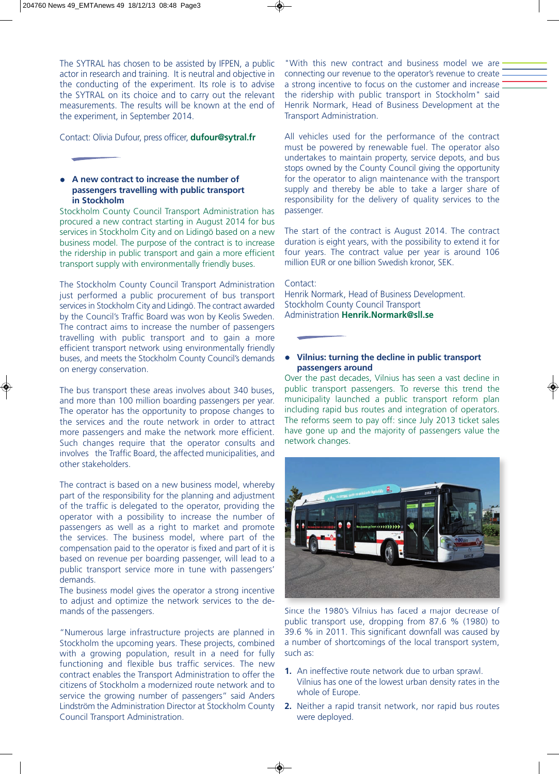The SYTRAL has chosen to be assisted by IFPEN, a public actor in research and training. It is neutral and objective in the conducting of the experiment. Its role is to advise the SYTRAL on its choice and to carry out the relevant measurements. The results will be known at the end of the experiment, in September 2014.

Contact: Olivia Dufour, press officer, **dufour@sytral.fr**

# <sup>l</sup> **A new contract to increase the number of passengers travelling with public transport in Stockholm**

Stockholm County Council Transport Administration has procured a new contract starting in August 2014 for bus services in Stockholm City and on Lidingö based on a new business model. The purpose of the contract is to increase the ridership in public transport and gain a more efficient transport supply with environmentally friendly buses.

The Stockholm County Council Transport Administration just performed a public procurement of bus transport services in Stockholm City and Lidingö. The contract awarded by the Council's Traffic Board was won by Keolis Sweden. The contract aims to increase the number of passengers travelling with public transport and to gain a more efficient transport network using environmentally friendly buses, and meets the Stockholm County Council's demands on energy conservation.

The bus transport these areas involves about 340 buses, and more than 100 million boarding passengers per year. The operator has the opportunity to propose changes to the services and the route network in order to attract more passengers and make the network more efficient. Such changes require that the operator consults and involves the Traffic Board, the affected municipalities, and other stakeholders.

The contract is based on a new business model, whereby part of the responsibility for the planning and adjustment of the traffic is delegated to the operator, providing the operator with a possibility to increase the number of passengers as well as a right to market and promote the services. The business model, where part of the compensation paid to the operator is fixed and part of it is based on revenue per boarding passenger, will lead to a public transport service more in tune with passengers' demands.

The business model gives the operator a strong incentive to adjust and optimize the network services to the demands of the passengers.

"Numerous large infrastructure projects are planned in Stockholm the upcoming years. These projects, combined with a growing population, result in a need for fully functioning and flexible bus traffic services. The new contract enables the Transport Administration to offer the citizens of Stockholm a modernized route network and to service the growing number of passengers" said Anders Lindström the Administration Director at Stockholm County Council Transport Administration.

"With this new contract and business model we are connecting our revenue to the operator's revenue to create a strong incentive to focus on the customer and increase the ridership with public transport in Stockholm" said Henrik Normark, Head of Business Development at the Transport Administration.

All vehicles used for the performance of the contract must be powered by renewable fuel. The operator also undertakes to maintain property, service depots, and bus stops owned by the County Council giving the opportunity for the operator to align maintenance with the transport supply and thereby be able to take a larger share of responsibility for the delivery of quality services to the passenger.

The start of the contract is August 2014. The contract duration is eight years, with the possibility to extend it for four years. The contract value per year is around 106 million EUR or one billion Swedish kronor, SEK.

# Contact:

Henrik Normark, Head of Business Development. Stockholm County Council Transport Administration **Henrik.Normark@sll.se**

# **•** Vilnius: turning the decline in public transport  **passengers around**

Over the past decades, Vilnius has seen a vast decline in public transport passengers. To reverse this trend the municipality launched a public transport reform plan including rapid bus routes and integration of operators. The reforms seem to pay off: since July 2013 ticket sales have gone up and the majority of passengers value the network changes.



Since the 1980's Vilnius has faced a major decrease of public transport use, dropping from 87.6 % (1980) to 39.6 % in 2011. This significant downfall was caused by a number of shortcomings of the local transport system, such as:

- **1.** An ineffective route network due to urban sprawl. Vilnius has one of the lowest urban density rates in the whole of Europe.
- **2.** Neither a rapid transit network, nor rapid bus routes were deployed.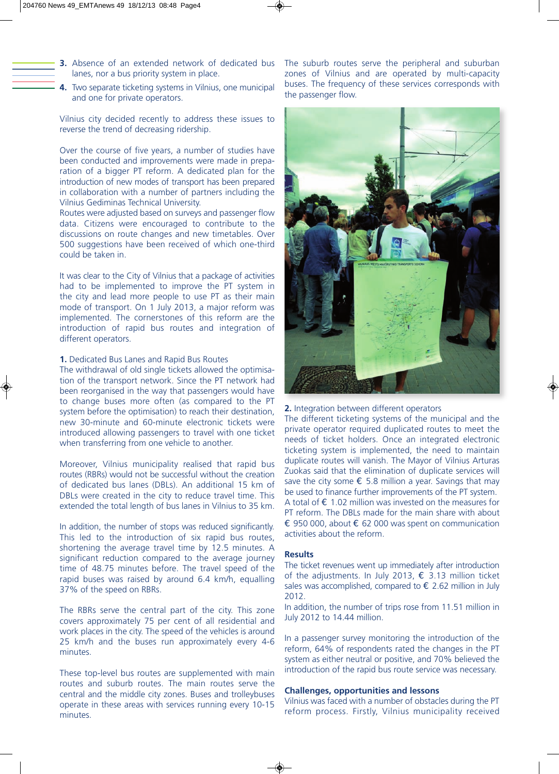- **3.** Absence of an extended network of dedicated bus lanes, nor a bus priority system in place.
- **4.** Two separate ticketing systems in Vilnius, one municipal and one for private operators.

Vilnius city decided recently to address these issues to reverse the trend of decreasing ridership.

Over the course of five years, a number of studies have been conducted and improvements were made in preparation of a bigger PT reform. A dedicated plan for the introduction of new modes of transport has been prepared in collaboration with a number of partners including the Vilnius Gediminas Technical University.

Routes were adjusted based on surveys and passenger flow data. Citizens were encouraged to contribute to the discussions on route changes and new timetables. Over 500 suggestions have been received of which one-third could be taken in.

It was clear to the City of Vilnius that a package of activities had to be implemented to improve the PT system in the city and lead more people to use PT as their main mode of transport. On 1 July 2013, a major reform was implemented. The cornerstones of this reform are the introduction of rapid bus routes and integration of different operators.

#### **1.** Dedicated Bus Lanes and Rapid Bus Routes

The withdrawal of old single tickets allowed the optimisation of the transport network. Since the PT network had been reorganised in the way that passengers would have to change buses more often (as compared to the PT system before the optimisation) to reach their destination, new 30-minute and 60-minute electronic tickets were introduced allowing passengers to travel with one ticket when transferring from one vehicle to another.

Moreover, Vilnius municipality realised that rapid bus routes (RBRs) would not be successful without the creation of dedicated bus lanes (DBLs). An additional 15 km of DBLs were created in the city to reduce travel time. This extended the total length of bus lanes in Vilnius to 35 km.

In addition, the number of stops was reduced significantly. This led to the introduction of six rapid bus routes, shortening the average travel time by 12.5 minutes. A significant reduction compared to the average journey time of 48.75 minutes before. The travel speed of the rapid buses was raised by around 6.4 km/h, equalling 37% of the speed on RBRs.

The RBRs serve the central part of the city. This zone covers approximately 75 per cent of all residential and work places in the city. The speed of the vehicles is around 25 km/h and the buses run approximately every 4-6 minutes.

These top-level bus routes are supplemented with main routes and suburb routes. The main routes serve the central and the middle city zones. Buses and trolleybuses operate in these areas with services running every 10-15 minutes.

The suburb routes serve the peripheral and suburban zones of Vilnius and are operated by multi-capacity buses. The frequency of these services corresponds with the passenger flow.



#### **2.** Integration between different operators

The different ticketing systems of the municipal and the private operator required duplicated routes to meet the needs of ticket holders. Once an integrated electronic ticketing system is implemented, the need to maintain duplicate routes will vanish. The Mayor of Vilnius Arturas Zuokas said that the elimination of duplicate services will save the city some  $\epsilon$  5.8 million a year. Savings that may be used to finance further improvements of the PT system. A total of  $\epsilon$  1.02 million was invested on the measures for PT reform. The DBLs made for the main share with about € 950 000, about € 62 000 was spent on communication activities about the reform.

#### **Results**

The ticket revenues went up immediately after introduction of the adjustments. In July 2013,  $\epsilon$  3.13 million ticket sales was accomplished, compared to  $\epsilon$  2.62 million in July 2012.

In addition, the number of trips rose from 11.51 million in July 2012 to 14.44 million.

In a passenger survey monitoring the introduction of the reform, 64% of respondents rated the changes in the PT system as either neutral or positive, and 70% believed the introduction of the rapid bus route service was necessary.

## **Challenges, opportunities and lessons**

Vilnius was faced with a number of obstacles during the PT reform process. Firstly, Vilnius municipality received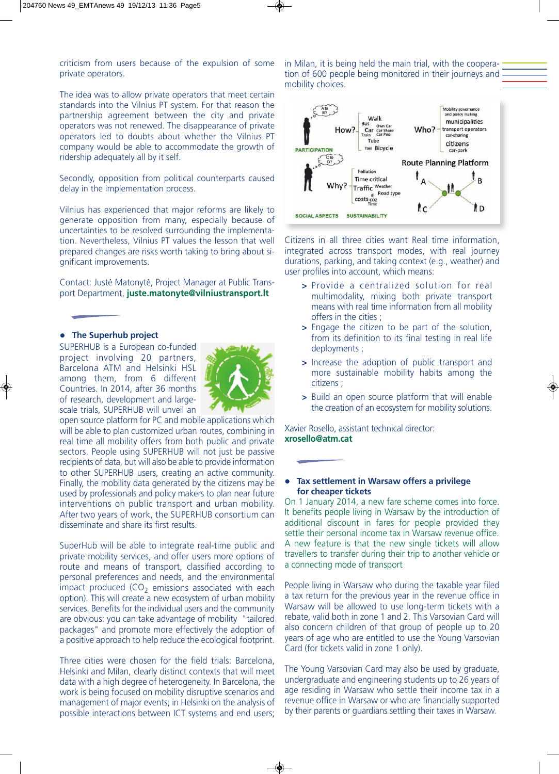criticism from users because of the expulsion of some private operators.

The idea was to allow private operators that meet certain standards into the Vilnius PT system. For that reason the partnership agreement between the city and private operators was not renewed. The disappearance of private operators led to doubts about whether the Vilnius PT company would be able to accommodate the growth of ridership adequately all by it self.

Secondly, opposition from political counterparts caused delay in the implementation process.

Vilnius has experienced that major reforms are likely to generate opposition from many, especially because of uncertainties to be resolved surrounding the implementation. Nevertheless, Vilnius PT values the lesson that well prepared changes are risks worth taking to bring about significant improvements.

Contact: Juste Matonyte, Project Manager at Public Trans-. . port Department, **juste.matonyte@vilniustransport.lt**

### **•** The Superhub project

SUPERHUB is a European co-funded project involving 20 partners, Barcelona ATM and Helsinki HSL among them, from 6 different Countries. In 2014, after 36 months of research, development and largescale trials, SUPERHUB will unveil an



open source platform for PC and mobile applications which will be able to plan customized urban routes, combining in real time all mobility offers from both public and private sectors. People using SUPERHUB will not just be passive recipients of data, but will also be able to provide information to other SUPERHUB users, creating an active community. Finally, the mobility data generated by the citizens may be used by professionals and policy makers to plan near future interventions on public transport and urban mobility. After two years of work, the SUPERHUB consortium can disseminate and share its first results.

SuperHub will be able to integrate real-time public and private mobility services, and offer users more options of route and means of transport, classified according to personal preferences and needs, and the environmental impact produced  $(CO<sub>2</sub>$  emissions associated with each option). This will create a new ecosystem of urban mobility services. Benefits for the individual users and the community are obvious: you can take advantage of mobility "tailored packages" and promote more effectively the adoption of a positive approach to help reduce the ecological footprint.

Three cities were chosen for the field trials: Barcelona, Helsinki and Milan, clearly distinct contexts that will meet data with a high degree of heterogeneity. In Barcelona, the work is being focused on mobility disruptive scenarios and management of major events; in Helsinki on the analysis of possible interactions between ICT systems and end users; in Milan, it is being held the main trial, with the cooperation of 600 people being monitored in their journeys and mobility choices.



Citizens in all three cities want Real time information, integrated across transport modes, with real journey durations, parking, and taking context (e.g., weather) and user profiles into account, which means:

- **>** Provide a centralized solution for real multimodality, mixing both private transport means with real time information from all mobility offers in the cities ;
- **>** Engage the citizen to be part of the solution, from its definition to its final testing in real life deployments ;
- **>** Increase the adoption of public transport and more sustainable mobility habits among the citizens ;
- **>** Build an open source platform that will enable the creation of an ecosystem for mobility solutions.

Xavier Rosello, assistant technical director: **xrosello@atm.cat**

# **• Tax settlement in Warsaw offers a privilege for cheaper tickets**

On 1 January 2014, a new fare scheme comes into force. It benefits people living in Warsaw by the introduction of additional discount in fares for people provided they settle their personal income tax in Warsaw revenue office. A new feature is that the new single tickets will allow travellers to transfer during their trip to another vehicle or a connecting mode of transport

People living in Warsaw who during the taxable year filed a tax return for the previous year in the revenue office in Warsaw will be allowed to use long-term tickets with a rebate, valid both in zone 1 and 2. This Varsovian Card will also concern children of that group of people up to 20 years of age who are entitled to use the Young Varsovian Card (for tickets valid in zone 1 only).

The Young Varsovian Card may also be used by graduate, undergraduate and engineering students up to 26 years of age residing in Warsaw who settle their income tax in a revenue office in Warsaw or who are financially supported by their parents or guardians settling their taxes in Warsaw.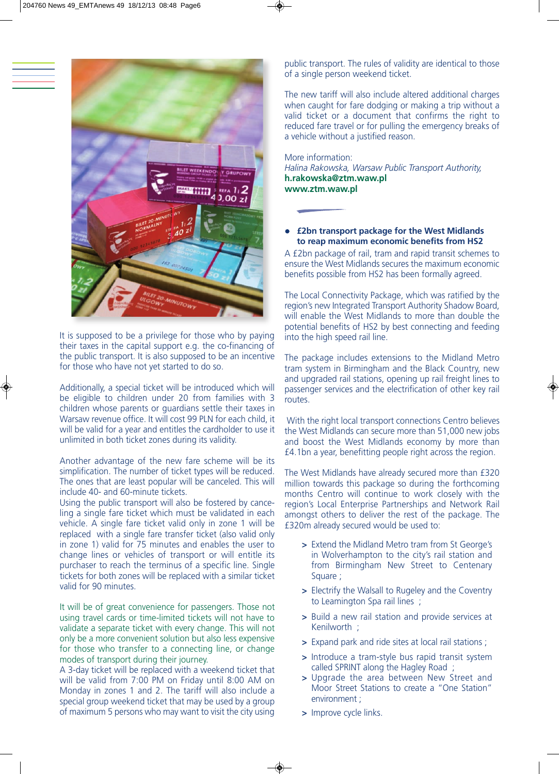

It is supposed to be a privilege for those who by paying their taxes in the capital support e.g. the co-financing of the public transport. It is also supposed to be an incentive for those who have not yet started to do so.

Additionally, a special ticket will be introduced which will be eligible to children under 20 from families with 3 children whose parents or guardians settle their taxes in Warsaw revenue office. It will cost 99 PLN for each child, it will be valid for a year and entitles the cardholder to use it unlimited in both ticket zones during its validity.

Another advantage of the new fare scheme will be its simplification. The number of ticket types will be reduced. The ones that are least popular will be canceled. This will include 40- and 60-minute tickets.

Using the public transport will also be fostered by canceling a single fare ticket which must be validated in each vehicle. A single fare ticket valid only in zone 1 will be replaced with a single fare transfer ticket (also valid only in zone 1) valid for 75 minutes and enables the user to change lines or vehicles of transport or will entitle its purchaser to reach the terminus of a specific line. Single tickets for both zones will be replaced with a similar ticket valid for 90 minutes.

It will be of great convenience for passengers. Those not using travel cards or time-limited tickets will not have to validate a separate ticket with every change. This will not only be a more convenient solution but also less expensive for those who transfer to a connecting line, or change modes of transport during their journey.

A 3-day ticket will be replaced with a weekend ticket that will be valid from 7:00 PM on Friday until 8:00 AM on Monday in zones 1 and 2. The tariff will also include a special group weekend ticket that may be used by a group of maximum 5 persons who may want to visit the city using public transport. The rules of validity are identical to those of a single person weekend ticket.

The new tariff will also include altered additional charges when caught for fare dodging or making a trip without a valid ticket or a document that confirms the right to reduced fare travel or for pulling the emergency breaks of a vehicle without a justified reason.

More information: *Halina Rakowska, Warsaw Public Transport Authority,*  **h.rakowska@ztm.waw.pl www.ztm.waw.pl**

# **E2bn transport package for the West Midlands to reap maximum economic benefits from HS2**

A £2bn package of rail, tram and rapid transit schemes to ensure the West Midlands secures the maximum economic benefits possible from HS2 has been formally agreed.

The Local Connectivity Package, which was ratified by the region's new Integrated Transport Authority Shadow Board, will enable the West Midlands to more than double the potential benefits of HS2 by best connecting and feeding into the high speed rail line.

The package includes extensions to the Midland Metro tram system in Birmingham and the Black Country, new and upgraded rail stations, opening up rail freight lines to passenger services and the electrification of other key rail routes.

With the right local transport connections Centro believes the West Midlands can secure more than 51,000 new jobs and boost the West Midlands economy by more than £4.1bn a year, benefitting people right across the region.

The West Midlands have already secured more than £320 million towards this package so during the forthcoming months Centro will continue to work closely with the region's Local Enterprise Partnerships and Network Rail amongst others to deliver the rest of the package. The £320m already secured would be used to:

- **>** Extend the Midland Metro tram from St George's in Wolverhampton to the city's rail station and from Birmingham New Street to Centenary Square ;
- **>** Electrify the Walsall to Rugeley and the Coventry to Leamington Spa rail lines ;
- **>** Build a new rail station and provide services at Kenilworth ;
- **>** Expand park and ride sites at local rail stations ;
- **>** Introduce a tram-style bus rapid transit system called SPRINT along the Hagley Road ;
- **>** Upgrade the area between New Street and Moor Street Stations to create a "One Station" environment ;
- **>** Improve cycle links.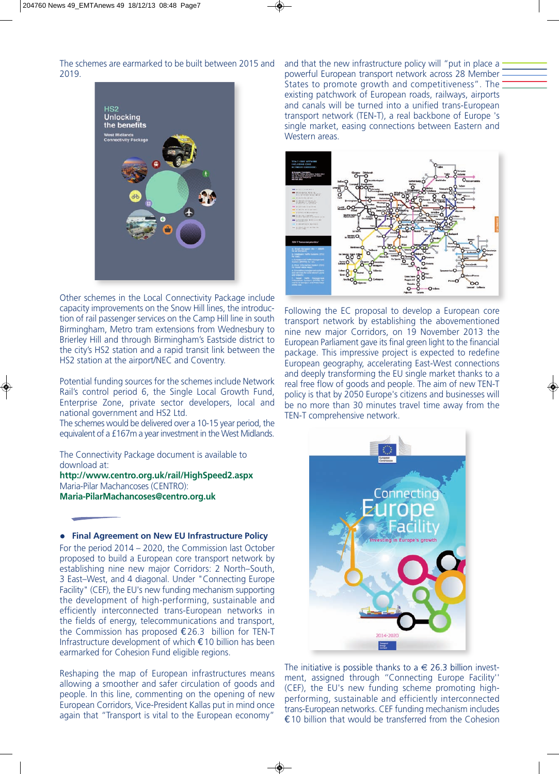The schemes are earmarked to be built between 2015 and 2019.



Other schemes in the Local Connectivity Package include capacity improvements on the Snow Hill lines, the introduction of rail passenger services on the Camp Hill line in south Birmingham, Metro tram extensions from Wednesbury to Brierley Hill and through Birmingham's Eastside district to the city's HS2 station and a rapid transit link between the HS2 station at the airport/NEC and Coventry.

Potential funding sources for the schemes include Network Rail's control period 6, the Single Local Growth Fund, Enterprise Zone, private sector developers, local and national government and HS2 Ltd.

The schemes would be delivered over a 10-15 year period, the equivalent of a £167m a year investment in the West Midlands.

The Connectivity Package document is available to download at:

**http://www.centro.org.uk/rail/HighSpeed2.aspx** Maria-Pilar Machancoses (CENTRO): **Maria-PilarMachancoses@centro.org.uk**

**• Final Agreement on New EU Infrastructure Policy** For the period 2014 – 2020, the Commission last October proposed to build a European core transport network by establishing nine new major Corridors: 2 North–South, 3 East–West, and 4 diagonal. Under "Connecting Europe Facility" (CEF), the EU's new funding mechanism supporting the development of high-performing, sustainable and efficiently interconnected trans-European networks in the fields of energy, telecommunications and transport, the Commission has proposed €26.3 billion for TEN-T Infrastructure development of which €10 billion has been earmarked for Cohesion Fund eligible regions.

Reshaping the map of European infrastructures means allowing a smoother and safer circulation of goods and people. In this line, commenting on the opening of new European Corridors, Vice-President Kallas put in mind once again that "Transport is vital to the European economy"

and that the new infrastructure policy will "put in place a powerful European transport network across 28 Member States to promote growth and competitiveness". The existing patchwork of European roads, railways, airports and canals will be turned into a unified trans-European transport network (TEN-T), a real backbone of Europe 's single market, easing connections between Eastern and Western areas.



Following the EC proposal to develop a European core transport network by establishing the abovementioned nine new major Corridors, on 19 November 2013 the European Parliament gave its final green light to the financial package. This impressive project is expected to redefine European geography, accelerating East-West connections and deeply transforming the EU single market thanks to a real free flow of goods and people. The aim of new TEN-T policy is that by 2050 Europe's citizens and businesses will be no more than 30 minutes travel time away from the TEN-T comprehensive network.



The initiative is possible thanks to  $a \in 26.3$  billion investment, assigned through ''Connecting Europe Facility'' (CEF), the EU's new funding scheme promoting highperforming, sustainable and efficiently interconnected trans-European networks. CEF funding mechanism includes €10 billion that would be transferred from the Cohesion